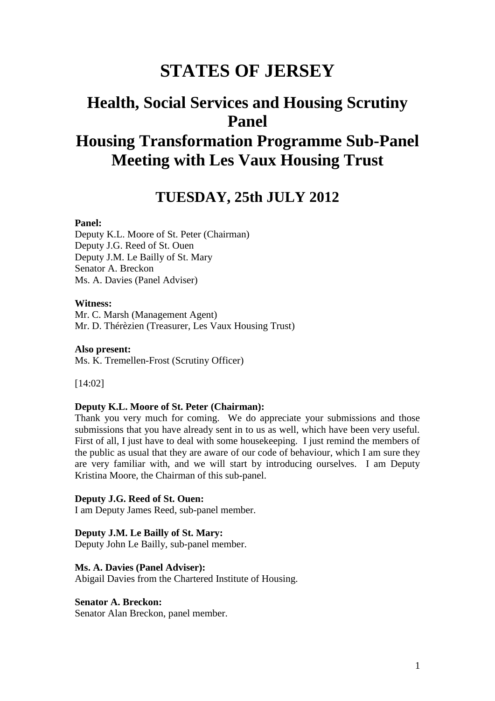# **STATES OF JERSEY**

## **Health, Social Services and Housing Scrutiny Panel Housing Transformation Programme Sub-Panel Meeting with Les Vaux Housing Trust**

## **TUESDAY, 25th JULY 2012**

#### **Panel:**

Deputy K.L. Moore of St. Peter (Chairman) Deputy J.G. Reed of St. Ouen Deputy J.M. Le Bailly of St. Mary Senator A. Breckon Ms. A. Davies (Panel Adviser)

#### **Witness:**

Mr. C. Marsh (Management Agent) Mr. D. Thérèzien (Treasurer, Les Vaux Housing Trust)

**Also present:** Ms. K. Tremellen-Frost (Scrutiny Officer)

[14:02]

#### **Deputy K.L. Moore of St. Peter (Chairman):**

Thank you very much for coming. We do appreciate your submissions and those submissions that you have already sent in to us as well, which have been very useful. First of all, I just have to deal with some housekeeping. I just remind the members of the public as usual that they are aware of our code of behaviour, which I am sure they are very familiar with, and we will start by introducing ourselves. I am Deputy Kristina Moore, the Chairman of this sub-panel.

## **Deputy J.G. Reed of St. Ouen:**

I am Deputy James Reed, sub-panel member.

#### **Deputy J.M. Le Bailly of St. Mary:**

Deputy John Le Bailly, sub-panel member.

#### **Ms. A. Davies (Panel Adviser):**

Abigail Davies from the Chartered Institute of Housing.

## **Senator A. Breckon:**

Senator Alan Breckon, panel member.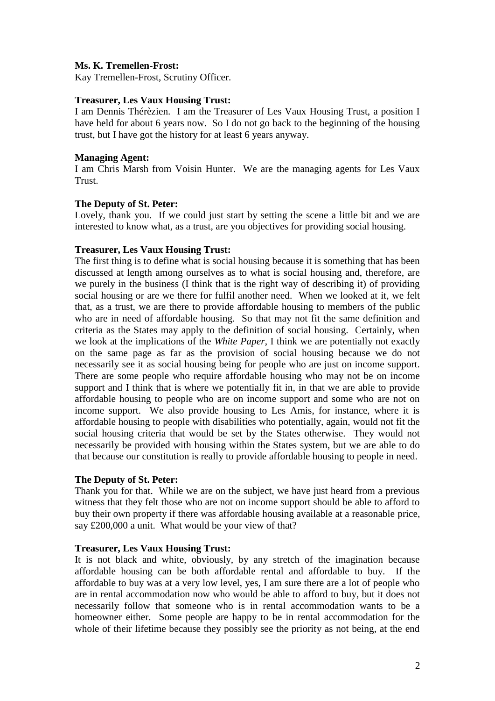## **Ms. K. Tremellen-Frost:**

Kay Tremellen-Frost, Scrutiny Officer.

#### **Treasurer, Les Vaux Housing Trust:**

I am Dennis Thérèzien. I am the Treasurer of Les Vaux Housing Trust, a position I have held for about 6 years now. So I do not go back to the beginning of the housing trust, but I have got the history for at least 6 years anyway.

## **Managing Agent:**

I am Chris Marsh from Voisin Hunter. We are the managing agents for Les Vaux Trust.

## **The Deputy of St. Peter:**

Lovely, thank you. If we could just start by setting the scene a little bit and we are interested to know what, as a trust, are you objectives for providing social housing.

## **Treasurer, Les Vaux Housing Trust:**

The first thing is to define what is social housing because it is something that has been discussed at length among ourselves as to what is social housing and, therefore, are we purely in the business (I think that is the right way of describing it) of providing social housing or are we there for fulfil another need. When we looked at it, we felt that, as a trust, we are there to provide affordable housing to members of the public who are in need of affordable housing. So that may not fit the same definition and criteria as the States may apply to the definition of social housing. Certainly, when we look at the implications of the *White Paper*, I think we are potentially not exactly on the same page as far as the provision of social housing because we do not necessarily see it as social housing being for people who are just on income support. There are some people who require affordable housing who may not be on income support and I think that is where we potentially fit in, in that we are able to provide affordable housing to people who are on income support and some who are not on income support. We also provide housing to Les Amis, for instance, where it is affordable housing to people with disabilities who potentially, again, would not fit the social housing criteria that would be set by the States otherwise. They would not necessarily be provided with housing within the States system, but we are able to do that because our constitution is really to provide affordable housing to people in need.

## **The Deputy of St. Peter:**

Thank you for that. While we are on the subject, we have just heard from a previous witness that they felt those who are not on income support should be able to afford to buy their own property if there was affordable housing available at a reasonable price, say £200,000 a unit. What would be your view of that?

#### **Treasurer, Les Vaux Housing Trust:**

It is not black and white, obviously, by any stretch of the imagination because affordable housing can be both affordable rental and affordable to buy. If the affordable to buy was at a very low level, yes, I am sure there are a lot of people who are in rental accommodation now who would be able to afford to buy, but it does not necessarily follow that someone who is in rental accommodation wants to be a homeowner either. Some people are happy to be in rental accommodation for the whole of their lifetime because they possibly see the priority as not being, at the end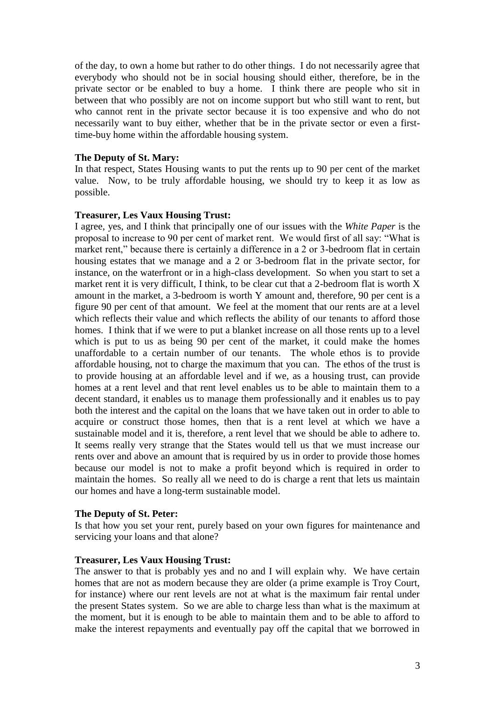of the day, to own a home but rather to do other things. I do not necessarily agree that everybody who should not be in social housing should either, therefore, be in the private sector or be enabled to buy a home. I think there are people who sit in between that who possibly are not on income support but who still want to rent, but who cannot rent in the private sector because it is too expensive and who do not necessarily want to buy either, whether that be in the private sector or even a firsttime-buy home within the affordable housing system.

#### **The Deputy of St. Mary:**

In that respect, States Housing wants to put the rents up to 90 per cent of the market value. Now, to be truly affordable housing, we should try to keep it as low as possible.

#### **Treasurer, Les Vaux Housing Trust:**

I agree, yes, and I think that principally one of our issues with the *White Paper* is the proposal to increase to 90 per cent of market rent. We would first of all say: "What is market rent," because there is certainly a difference in a 2 or 3-bedroom flat in certain housing estates that we manage and a 2 or 3-bedroom flat in the private sector, for instance, on the waterfront or in a high-class development. So when you start to set a market rent it is very difficult, I think, to be clear cut that a 2-bedroom flat is worth X amount in the market, a 3-bedroom is worth Y amount and, therefore, 90 per cent is a figure 90 per cent of that amount. We feel at the moment that our rents are at a level which reflects their value and which reflects the ability of our tenants to afford those homes. I think that if we were to put a blanket increase on all those rents up to a level which is put to us as being 90 per cent of the market, it could make the homes unaffordable to a certain number of our tenants. The whole ethos is to provide affordable housing, not to charge the maximum that you can. The ethos of the trust is to provide housing at an affordable level and if we, as a housing trust, can provide homes at a rent level and that rent level enables us to be able to maintain them to a decent standard, it enables us to manage them professionally and it enables us to pay both the interest and the capital on the loans that we have taken out in order to able to acquire or construct those homes, then that is a rent level at which we have a sustainable model and it is, therefore, a rent level that we should be able to adhere to. It seems really very strange that the States would tell us that we must increase our rents over and above an amount that is required by us in order to provide those homes because our model is not to make a profit beyond which is required in order to maintain the homes. So really all we need to do is charge a rent that lets us maintain our homes and have a long-term sustainable model.

#### **The Deputy of St. Peter:**

Is that how you set your rent, purely based on your own figures for maintenance and servicing your loans and that alone?

#### **Treasurer, Les Vaux Housing Trust:**

The answer to that is probably yes and no and I will explain why. We have certain homes that are not as modern because they are older (a prime example is Troy Court, for instance) where our rent levels are not at what is the maximum fair rental under the present States system. So we are able to charge less than what is the maximum at the moment, but it is enough to be able to maintain them and to be able to afford to make the interest repayments and eventually pay off the capital that we borrowed in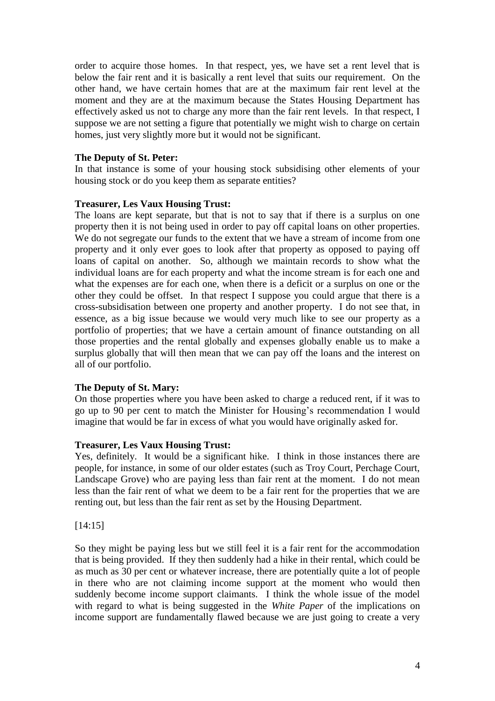order to acquire those homes. In that respect, yes, we have set a rent level that is below the fair rent and it is basically a rent level that suits our requirement. On the other hand, we have certain homes that are at the maximum fair rent level at the moment and they are at the maximum because the States Housing Department has effectively asked us not to charge any more than the fair rent levels. In that respect, I suppose we are not setting a figure that potentially we might wish to charge on certain homes, just very slightly more but it would not be significant.

## **The Deputy of St. Peter:**

In that instance is some of your housing stock subsidising other elements of your housing stock or do you keep them as separate entities?

## **Treasurer, Les Vaux Housing Trust:**

The loans are kept separate, but that is not to say that if there is a surplus on one property then it is not being used in order to pay off capital loans on other properties. We do not segregate our funds to the extent that we have a stream of income from one property and it only ever goes to look after that property as opposed to paying off loans of capital on another. So, although we maintain records to show what the individual loans are for each property and what the income stream is for each one and what the expenses are for each one, when there is a deficit or a surplus on one or the other they could be offset. In that respect I suppose you could argue that there is a cross-subsidisation between one property and another property. I do not see that, in essence, as a big issue because we would very much like to see our property as a portfolio of properties; that we have a certain amount of finance outstanding on all those properties and the rental globally and expenses globally enable us to make a surplus globally that will then mean that we can pay off the loans and the interest on all of our portfolio.

#### **The Deputy of St. Mary:**

On those properties where you have been asked to charge a reduced rent, if it was to go up to 90 per cent to match the Minister for Housing's recommendation I would imagine that would be far in excess of what you would have originally asked for.

#### **Treasurer, Les Vaux Housing Trust:**

Yes, definitely. It would be a significant hike. I think in those instances there are people, for instance, in some of our older estates (such as Troy Court, Perchage Court, Landscape Grove) who are paying less than fair rent at the moment. I do not mean less than the fair rent of what we deem to be a fair rent for the properties that we are renting out, but less than the fair rent as set by the Housing Department.

#### [14:15]

So they might be paying less but we still feel it is a fair rent for the accommodation that is being provided. If they then suddenly had a hike in their rental, which could be as much as 30 per cent or whatever increase, there are potentially quite a lot of people in there who are not claiming income support at the moment who would then suddenly become income support claimants. I think the whole issue of the model with regard to what is being suggested in the *White Paper* of the implications on income support are fundamentally flawed because we are just going to create a very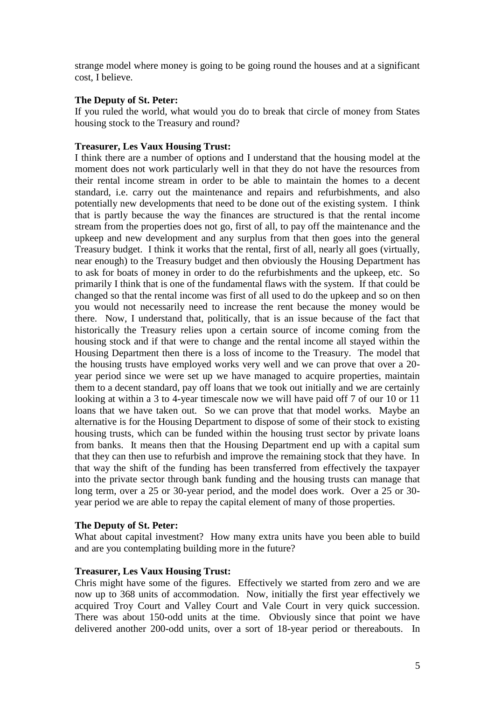strange model where money is going to be going round the houses and at a significant cost, I believe.

## **The Deputy of St. Peter:**

If you ruled the world, what would you do to break that circle of money from States housing stock to the Treasury and round?

## **Treasurer, Les Vaux Housing Trust:**

I think there are a number of options and I understand that the housing model at the moment does not work particularly well in that they do not have the resources from their rental income stream in order to be able to maintain the homes to a decent standard, i.e. carry out the maintenance and repairs and refurbishments, and also potentially new developments that need to be done out of the existing system. I think that is partly because the way the finances are structured is that the rental income stream from the properties does not go, first of all, to pay off the maintenance and the upkeep and new development and any surplus from that then goes into the general Treasury budget. I think it works that the rental, first of all, nearly all goes (virtually, near enough) to the Treasury budget and then obviously the Housing Department has to ask for boats of money in order to do the refurbishments and the upkeep, etc. So primarily I think that is one of the fundamental flaws with the system. If that could be changed so that the rental income was first of all used to do the upkeep and so on then you would not necessarily need to increase the rent because the money would be there. Now, I understand that, politically, that is an issue because of the fact that historically the Treasury relies upon a certain source of income coming from the housing stock and if that were to change and the rental income all stayed within the Housing Department then there is a loss of income to the Treasury. The model that the housing trusts have employed works very well and we can prove that over a 20 year period since we were set up we have managed to acquire properties, maintain them to a decent standard, pay off loans that we took out initially and we are certainly looking at within a 3 to 4-year timescale now we will have paid off 7 of our 10 or 11 loans that we have taken out. So we can prove that that model works. Maybe an alternative is for the Housing Department to dispose of some of their stock to existing housing trusts, which can be funded within the housing trust sector by private loans from banks. It means then that the Housing Department end up with a capital sum that they can then use to refurbish and improve the remaining stock that they have. In that way the shift of the funding has been transferred from effectively the taxpayer into the private sector through bank funding and the housing trusts can manage that long term, over a 25 or 30-year period, and the model does work. Over a 25 or 30 year period we are able to repay the capital element of many of those properties.

## **The Deputy of St. Peter:**

What about capital investment? How many extra units have you been able to build and are you contemplating building more in the future?

#### **Treasurer, Les Vaux Housing Trust:**

Chris might have some of the figures. Effectively we started from zero and we are now up to 368 units of accommodation. Now, initially the first year effectively we acquired Troy Court and Valley Court and Vale Court in very quick succession. There was about 150-odd units at the time. Obviously since that point we have delivered another 200-odd units, over a sort of 18-year period or thereabouts. In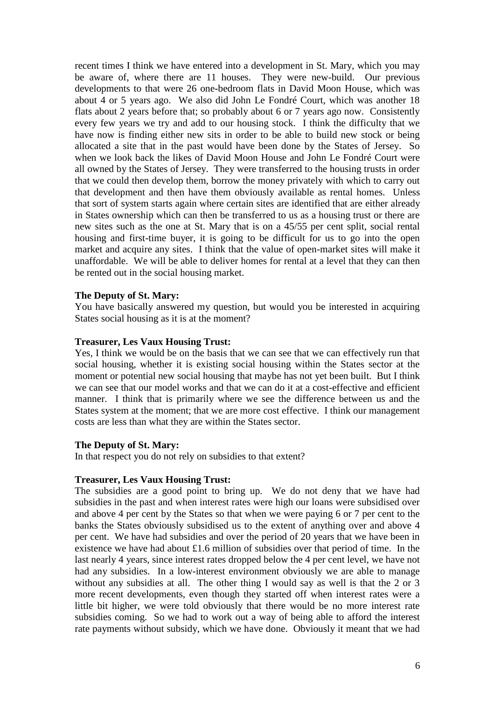recent times I think we have entered into a development in St. Mary, which you may be aware of, where there are 11 houses. They were new-build. Our previous developments to that were 26 one-bedroom flats in David Moon House, which was about 4 or 5 years ago. We also did John Le Fondré Court, which was another 18 flats about 2 years before that; so probably about 6 or 7 years ago now. Consistently every few years we try and add to our housing stock. I think the difficulty that we have now is finding either new sits in order to be able to build new stock or being allocated a site that in the past would have been done by the States of Jersey. So when we look back the likes of David Moon House and John Le Fondré Court were all owned by the States of Jersey. They were transferred to the housing trusts in order that we could then develop them, borrow the money privately with which to carry out that development and then have them obviously available as rental homes. Unless that sort of system starts again where certain sites are identified that are either already in States ownership which can then be transferred to us as a housing trust or there are new sites such as the one at St. Mary that is on a 45/55 per cent split, social rental housing and first-time buyer, it is going to be difficult for us to go into the open market and acquire any sites. I think that the value of open-market sites will make it unaffordable. We will be able to deliver homes for rental at a level that they can then be rented out in the social housing market.

#### **The Deputy of St. Mary:**

You have basically answered my question, but would you be interested in acquiring States social housing as it is at the moment?

#### **Treasurer, Les Vaux Housing Trust:**

Yes, I think we would be on the basis that we can see that we can effectively run that social housing, whether it is existing social housing within the States sector at the moment or potential new social housing that maybe has not yet been built. But I think we can see that our model works and that we can do it at a cost-effective and efficient manner. I think that is primarily where we see the difference between us and the States system at the moment; that we are more cost effective. I think our management costs are less than what they are within the States sector.

#### **The Deputy of St. Mary:**

In that respect you do not rely on subsidies to that extent?

#### **Treasurer, Les Vaux Housing Trust:**

The subsidies are a good point to bring up. We do not deny that we have had subsidies in the past and when interest rates were high our loans were subsidised over and above 4 per cent by the States so that when we were paying 6 or 7 per cent to the banks the States obviously subsidised us to the extent of anything over and above 4 per cent. We have had subsidies and over the period of 20 years that we have been in existence we have had about £1.6 million of subsidies over that period of time. In the last nearly 4 years, since interest rates dropped below the 4 per cent level, we have not had any subsidies. In a low-interest environment obviously we are able to manage without any subsidies at all. The other thing I would say as well is that the 2 or 3 more recent developments, even though they started off when interest rates were a little bit higher, we were told obviously that there would be no more interest rate subsidies coming. So we had to work out a way of being able to afford the interest rate payments without subsidy, which we have done. Obviously it meant that we had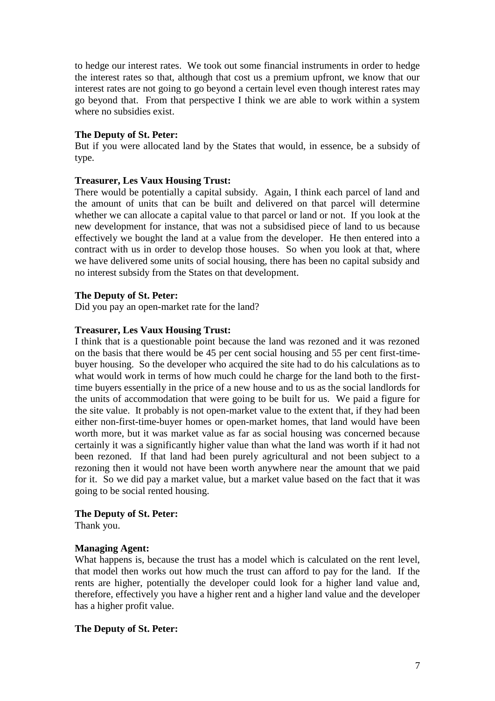to hedge our interest rates. We took out some financial instruments in order to hedge the interest rates so that, although that cost us a premium upfront, we know that our interest rates are not going to go beyond a certain level even though interest rates may go beyond that. From that perspective I think we are able to work within a system where no subsidies exist.

## **The Deputy of St. Peter:**

But if you were allocated land by the States that would, in essence, be a subsidy of type.

## **Treasurer, Les Vaux Housing Trust:**

There would be potentially a capital subsidy. Again, I think each parcel of land and the amount of units that can be built and delivered on that parcel will determine whether we can allocate a capital value to that parcel or land or not. If you look at the new development for instance, that was not a subsidised piece of land to us because effectively we bought the land at a value from the developer. He then entered into a contract with us in order to develop those houses. So when you look at that, where we have delivered some units of social housing, there has been no capital subsidy and no interest subsidy from the States on that development.

## **The Deputy of St. Peter:**

Did you pay an open-market rate for the land?

## **Treasurer, Les Vaux Housing Trust:**

I think that is a questionable point because the land was rezoned and it was rezoned on the basis that there would be 45 per cent social housing and 55 per cent first-timebuyer housing. So the developer who acquired the site had to do his calculations as to what would work in terms of how much could he charge for the land both to the firsttime buyers essentially in the price of a new house and to us as the social landlords for the units of accommodation that were going to be built for us. We paid a figure for the site value. It probably is not open-market value to the extent that, if they had been either non-first-time-buyer homes or open-market homes, that land would have been worth more, but it was market value as far as social housing was concerned because certainly it was a significantly higher value than what the land was worth if it had not been rezoned. If that land had been purely agricultural and not been subject to a rezoning then it would not have been worth anywhere near the amount that we paid for it. So we did pay a market value, but a market value based on the fact that it was going to be social rented housing.

## **The Deputy of St. Peter:**

Thank you.

## **Managing Agent:**

What happens is, because the trust has a model which is calculated on the rent level, that model then works out how much the trust can afford to pay for the land. If the rents are higher, potentially the developer could look for a higher land value and, therefore, effectively you have a higher rent and a higher land value and the developer has a higher profit value.

## **The Deputy of St. Peter:**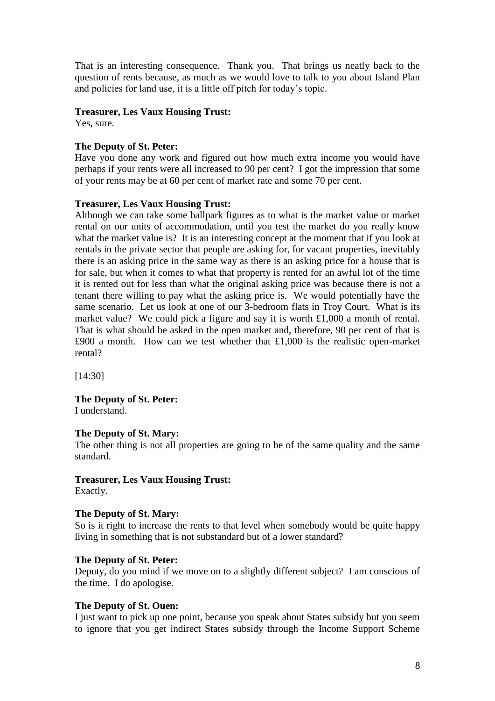That is an interesting consequence. Thank you. That brings us neatly back to the question of rents because, as much as we would love to talk to you about Island Plan and policies for land use, it is a little off pitch for today's topic.

#### **Treasurer, Les Vaux Housing Trust:**

Yes, sure.

## **The Deputy of St. Peter:**

Have you done any work and figured out how much extra income you would have perhaps if your rents were all increased to 90 per cent? I got the impression that some of your rents may be at 60 per cent of market rate and some 70 per cent.

## **Treasurer, Les Vaux Housing Trust:**

Although we can take some ballpark figures as to what is the market value or market rental on our units of accommodation, until you test the market do you really know what the market value is? It is an interesting concept at the moment that if you look at rentals in the private sector that people are asking for, for vacant properties, inevitably there is an asking price in the same way as there is an asking price for a house that is for sale, but when it comes to what that property is rented for an awful lot of the time it is rented out for less than what the original asking price was because there is not a tenant there willing to pay what the asking price is. We would potentially have the same scenario. Let us look at one of our 3-bedroom flats in Troy Court. What is its market value? We could pick a figure and say it is worth £1,000 a month of rental. That is what should be asked in the open market and, therefore, 90 per cent of that is £900 a month. How can we test whether that £1,000 is the realistic open-market rental?

[14:30]

**The Deputy of St. Peter:** I understand.

#### **The Deputy of St. Mary:**

The other thing is not all properties are going to be of the same quality and the same standard.

#### **Treasurer, Les Vaux Housing Trust:**

Exactly.

#### **The Deputy of St. Mary:**

So is it right to increase the rents to that level when somebody would be quite happy living in something that is not substandard but of a lower standard?

#### **The Deputy of St. Peter:**

Deputy, do you mind if we move on to a slightly different subject? I am conscious of the time. I do apologise.

#### **The Deputy of St. Ouen:**

I just want to pick up one point, because you speak about States subsidy but you seem to ignore that you get indirect States subsidy through the Income Support Scheme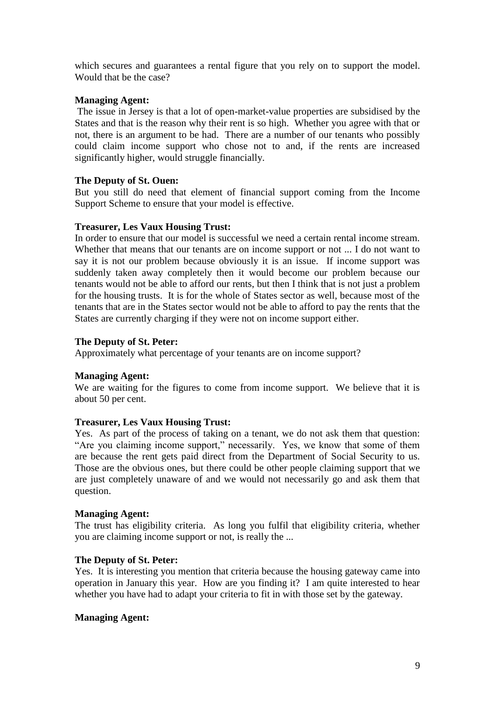which secures and guarantees a rental figure that you rely on to support the model. Would that be the case?

## **Managing Agent:**

The issue in Jersey is that a lot of open-market-value properties are subsidised by the States and that is the reason why their rent is so high. Whether you agree with that or not, there is an argument to be had. There are a number of our tenants who possibly could claim income support who chose not to and, if the rents are increased significantly higher, would struggle financially.

## **The Deputy of St. Ouen:**

But you still do need that element of financial support coming from the Income Support Scheme to ensure that your model is effective.

## **Treasurer, Les Vaux Housing Trust:**

In order to ensure that our model is successful we need a certain rental income stream. Whether that means that our tenants are on income support or not ... I do not want to say it is not our problem because obviously it is an issue. If income support was suddenly taken away completely then it would become our problem because our tenants would not be able to afford our rents, but then I think that is not just a problem for the housing trusts. It is for the whole of States sector as well, because most of the tenants that are in the States sector would not be able to afford to pay the rents that the States are currently charging if they were not on income support either.

## **The Deputy of St. Peter:**

Approximately what percentage of your tenants are on income support?

## **Managing Agent:**

We are waiting for the figures to come from income support. We believe that it is about 50 per cent.

## **Treasurer, Les Vaux Housing Trust:**

Yes. As part of the process of taking on a tenant, we do not ask them that question: "Are you claiming income support," necessarily. Yes, we know that some of them are because the rent gets paid direct from the Department of Social Security to us. Those are the obvious ones, but there could be other people claiming support that we are just completely unaware of and we would not necessarily go and ask them that question.

#### **Managing Agent:**

The trust has eligibility criteria. As long you fulfil that eligibility criteria, whether you are claiming income support or not, is really the ...

## **The Deputy of St. Peter:**

Yes. It is interesting you mention that criteria because the housing gateway came into operation in January this year. How are you finding it? I am quite interested to hear whether you have had to adapt your criteria to fit in with those set by the gateway.

## **Managing Agent:**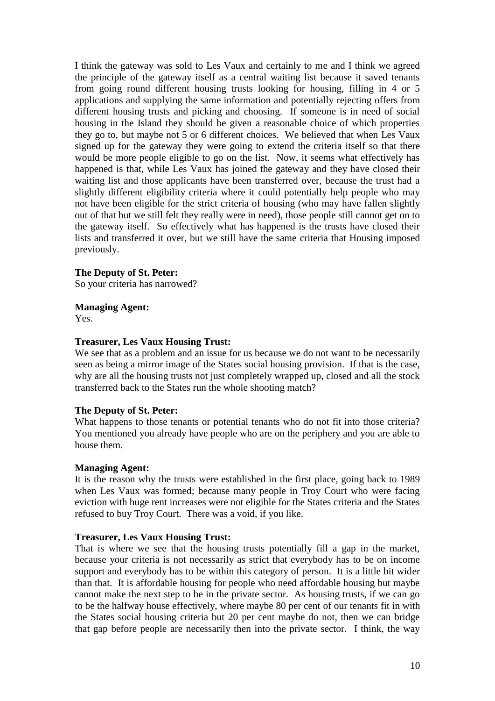I think the gateway was sold to Les Vaux and certainly to me and I think we agreed the principle of the gateway itself as a central waiting list because it saved tenants from going round different housing trusts looking for housing, filling in 4 or 5 applications and supplying the same information and potentially rejecting offers from different housing trusts and picking and choosing. If someone is in need of social housing in the Island they should be given a reasonable choice of which properties they go to, but maybe not 5 or 6 different choices. We believed that when Les Vaux signed up for the gateway they were going to extend the criteria itself so that there would be more people eligible to go on the list. Now, it seems what effectively has happened is that, while Les Vaux has joined the gateway and they have closed their waiting list and those applicants have been transferred over, because the trust had a slightly different eligibility criteria where it could potentially help people who may not have been eligible for the strict criteria of housing (who may have fallen slightly out of that but we still felt they really were in need), those people still cannot get on to the gateway itself. So effectively what has happened is the trusts have closed their lists and transferred it over, but we still have the same criteria that Housing imposed previously.

#### **The Deputy of St. Peter:**

So your criteria has narrowed?

## **Managing Agent:**

Yes.

## **Treasurer, Les Vaux Housing Trust:**

We see that as a problem and an issue for us because we do not want to be necessarily seen as being a mirror image of the States social housing provision. If that is the case, why are all the housing trusts not just completely wrapped up, closed and all the stock transferred back to the States run the whole shooting match?

#### **The Deputy of St. Peter:**

What happens to those tenants or potential tenants who do not fit into those criteria? You mentioned you already have people who are on the periphery and you are able to house them.

#### **Managing Agent:**

It is the reason why the trusts were established in the first place, going back to 1989 when Les Vaux was formed; because many people in Troy Court who were facing eviction with huge rent increases were not eligible for the States criteria and the States refused to buy Troy Court. There was a void, if you like.

#### **Treasurer, Les Vaux Housing Trust:**

That is where we see that the housing trusts potentially fill a gap in the market, because your criteria is not necessarily as strict that everybody has to be on income support and everybody has to be within this category of person. It is a little bit wider than that. It is affordable housing for people who need affordable housing but maybe cannot make the next step to be in the private sector. As housing trusts, if we can go to be the halfway house effectively, where maybe 80 per cent of our tenants fit in with the States social housing criteria but 20 per cent maybe do not, then we can bridge that gap before people are necessarily then into the private sector. I think, the way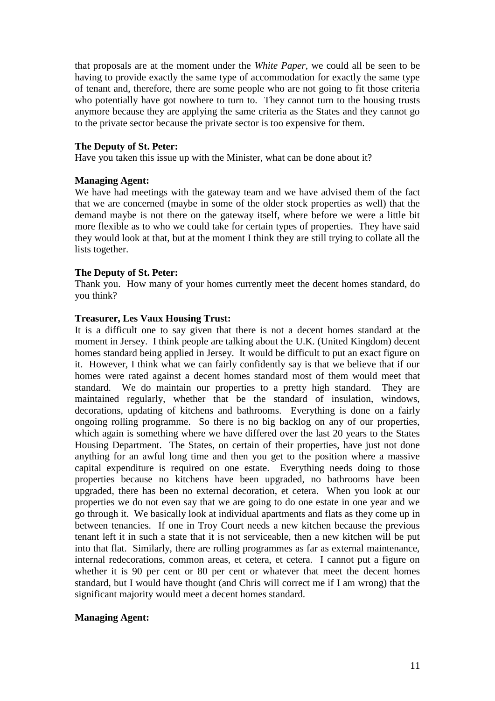that proposals are at the moment under the *White Paper*, we could all be seen to be having to provide exactly the same type of accommodation for exactly the same type of tenant and, therefore, there are some people who are not going to fit those criteria who potentially have got nowhere to turn to. They cannot turn to the housing trusts anymore because they are applying the same criteria as the States and they cannot go to the private sector because the private sector is too expensive for them.

#### **The Deputy of St. Peter:**

Have you taken this issue up with the Minister, what can be done about it?

#### **Managing Agent:**

We have had meetings with the gateway team and we have advised them of the fact that we are concerned (maybe in some of the older stock properties as well) that the demand maybe is not there on the gateway itself, where before we were a little bit more flexible as to who we could take for certain types of properties. They have said they would look at that, but at the moment I think they are still trying to collate all the lists together.

#### **The Deputy of St. Peter:**

Thank you. How many of your homes currently meet the decent homes standard, do you think?

#### **Treasurer, Les Vaux Housing Trust:**

It is a difficult one to say given that there is not a decent homes standard at the moment in Jersey. I think people are talking about the U.K. (United Kingdom) decent homes standard being applied in Jersey. It would be difficult to put an exact figure on it. However, I think what we can fairly confidently say is that we believe that if our homes were rated against a decent homes standard most of them would meet that standard. We do maintain our properties to a pretty high standard. They are maintained regularly, whether that be the standard of insulation, windows, decorations, updating of kitchens and bathrooms. Everything is done on a fairly ongoing rolling programme. So there is no big backlog on any of our properties, which again is something where we have differed over the last 20 years to the States Housing Department. The States, on certain of their properties, have just not done anything for an awful long time and then you get to the position where a massive capital expenditure is required on one estate. Everything needs doing to those properties because no kitchens have been upgraded, no bathrooms have been upgraded, there has been no external decoration, et cetera. When you look at our properties we do not even say that we are going to do one estate in one year and we go through it. We basically look at individual apartments and flats as they come up in between tenancies. If one in Troy Court needs a new kitchen because the previous tenant left it in such a state that it is not serviceable, then a new kitchen will be put into that flat. Similarly, there are rolling programmes as far as external maintenance, internal redecorations, common areas, et cetera, et cetera. I cannot put a figure on whether it is 90 per cent or 80 per cent or whatever that meet the decent homes standard, but I would have thought (and Chris will correct me if I am wrong) that the significant majority would meet a decent homes standard.

#### **Managing Agent:**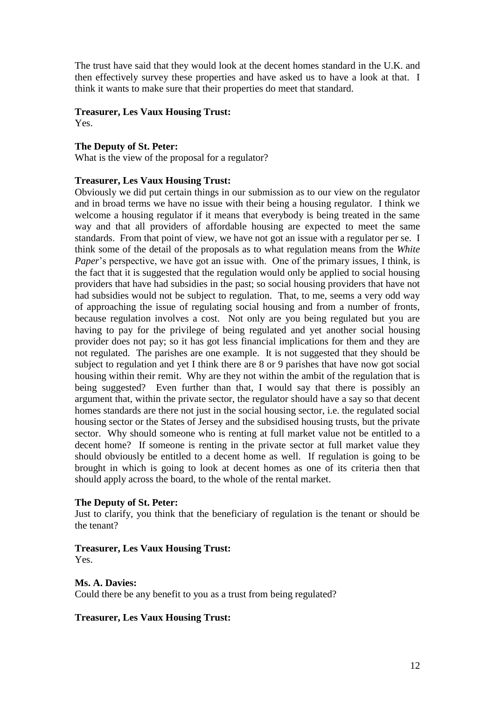The trust have said that they would look at the decent homes standard in the U.K. and then effectively survey these properties and have asked us to have a look at that. I think it wants to make sure that their properties do meet that standard.

## **Treasurer, Les Vaux Housing Trust:**

Yes.

## **The Deputy of St. Peter:**

What is the view of the proposal for a regulator?

## **Treasurer, Les Vaux Housing Trust:**

Obviously we did put certain things in our submission as to our view on the regulator and in broad terms we have no issue with their being a housing regulator. I think we welcome a housing regulator if it means that everybody is being treated in the same way and that all providers of affordable housing are expected to meet the same standards. From that point of view, we have not got an issue with a regulator per se. I think some of the detail of the proposals as to what regulation means from the *White Paper*'s perspective, we have got an issue with. One of the primary issues, I think, is the fact that it is suggested that the regulation would only be applied to social housing providers that have had subsidies in the past; so social housing providers that have not had subsidies would not be subject to regulation. That, to me, seems a very odd way of approaching the issue of regulating social housing and from a number of fronts, because regulation involves a cost. Not only are you being regulated but you are having to pay for the privilege of being regulated and yet another social housing provider does not pay; so it has got less financial implications for them and they are not regulated. The parishes are one example. It is not suggested that they should be subject to regulation and yet I think there are 8 or 9 parishes that have now got social housing within their remit. Why are they not within the ambit of the regulation that is being suggested? Even further than that, I would say that there is possibly an argument that, within the private sector, the regulator should have a say so that decent homes standards are there not just in the social housing sector, i.e. the regulated social housing sector or the States of Jersey and the subsidised housing trusts, but the private sector. Why should someone who is renting at full market value not be entitled to a decent home? If someone is renting in the private sector at full market value they should obviously be entitled to a decent home as well. If regulation is going to be brought in which is going to look at decent homes as one of its criteria then that should apply across the board, to the whole of the rental market.

#### **The Deputy of St. Peter:**

Just to clarify, you think that the beneficiary of regulation is the tenant or should be the tenant?

## **Treasurer, Les Vaux Housing Trust:**

Yes.

## **Ms. A. Davies:**

Could there be any benefit to you as a trust from being regulated?

## **Treasurer, Les Vaux Housing Trust:**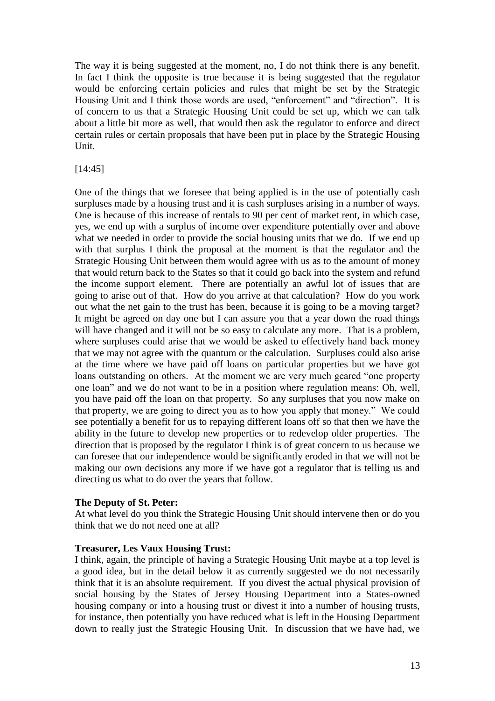The way it is being suggested at the moment, no, I do not think there is any benefit. In fact I think the opposite is true because it is being suggested that the regulator would be enforcing certain policies and rules that might be set by the Strategic Housing Unit and I think those words are used, "enforcement" and "direction". It is of concern to us that a Strategic Housing Unit could be set up, which we can talk about a little bit more as well, that would then ask the regulator to enforce and direct certain rules or certain proposals that have been put in place by the Strategic Housing Unit.

## [14:45]

One of the things that we foresee that being applied is in the use of potentially cash surpluses made by a housing trust and it is cash surpluses arising in a number of ways. One is because of this increase of rentals to 90 per cent of market rent, in which case, yes, we end up with a surplus of income over expenditure potentially over and above what we needed in order to provide the social housing units that we do. If we end up with that surplus I think the proposal at the moment is that the regulator and the Strategic Housing Unit between them would agree with us as to the amount of money that would return back to the States so that it could go back into the system and refund the income support element. There are potentially an awful lot of issues that are going to arise out of that. How do you arrive at that calculation? How do you work out what the net gain to the trust has been, because it is going to be a moving target? It might be agreed on day one but I can assure you that a year down the road things will have changed and it will not be so easy to calculate any more. That is a problem, where surpluses could arise that we would be asked to effectively hand back money that we may not agree with the quantum or the calculation. Surpluses could also arise at the time where we have paid off loans on particular properties but we have got loans outstanding on others. At the moment we are very much geared "one property one loan" and we do not want to be in a position where regulation means: Oh, well, you have paid off the loan on that property. So any surpluses that you now make on that property, we are going to direct you as to how you apply that money." We could see potentially a benefit for us to repaying different loans off so that then we have the ability in the future to develop new properties or to redevelop older properties. The direction that is proposed by the regulator I think is of great concern to us because we can foresee that our independence would be significantly eroded in that we will not be making our own decisions any more if we have got a regulator that is telling us and directing us what to do over the years that follow.

#### **The Deputy of St. Peter:**

At what level do you think the Strategic Housing Unit should intervene then or do you think that we do not need one at all?

#### **Treasurer, Les Vaux Housing Trust:**

I think, again, the principle of having a Strategic Housing Unit maybe at a top level is a good idea, but in the detail below it as currently suggested we do not necessarily think that it is an absolute requirement. If you divest the actual physical provision of social housing by the States of Jersey Housing Department into a States-owned housing company or into a housing trust or divest it into a number of housing trusts, for instance, then potentially you have reduced what is left in the Housing Department down to really just the Strategic Housing Unit. In discussion that we have had, we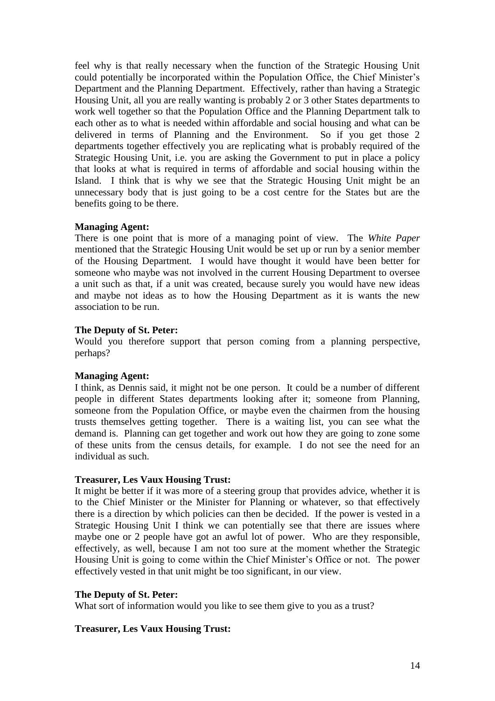feel why is that really necessary when the function of the Strategic Housing Unit could potentially be incorporated within the Population Office, the Chief Minister's Department and the Planning Department. Effectively, rather than having a Strategic Housing Unit, all you are really wanting is probably 2 or 3 other States departments to work well together so that the Population Office and the Planning Department talk to each other as to what is needed within affordable and social housing and what can be delivered in terms of Planning and the Environment. So if you get those 2 departments together effectively you are replicating what is probably required of the Strategic Housing Unit, i.e. you are asking the Government to put in place a policy that looks at what is required in terms of affordable and social housing within the Island. I think that is why we see that the Strategic Housing Unit might be an unnecessary body that is just going to be a cost centre for the States but are the benefits going to be there.

## **Managing Agent:**

There is one point that is more of a managing point of view. The *White Paper* mentioned that the Strategic Housing Unit would be set up or run by a senior member of the Housing Department. I would have thought it would have been better for someone who maybe was not involved in the current Housing Department to oversee a unit such as that, if a unit was created, because surely you would have new ideas and maybe not ideas as to how the Housing Department as it is wants the new association to be run.

## **The Deputy of St. Peter:**

Would you therefore support that person coming from a planning perspective, perhaps?

#### **Managing Agent:**

I think, as Dennis said, it might not be one person. It could be a number of different people in different States departments looking after it; someone from Planning, someone from the Population Office, or maybe even the chairmen from the housing trusts themselves getting together. There is a waiting list, you can see what the demand is. Planning can get together and work out how they are going to zone some of these units from the census details, for example. I do not see the need for an individual as such.

#### **Treasurer, Les Vaux Housing Trust:**

It might be better if it was more of a steering group that provides advice, whether it is to the Chief Minister or the Minister for Planning or whatever, so that effectively there is a direction by which policies can then be decided. If the power is vested in a Strategic Housing Unit I think we can potentially see that there are issues where maybe one or 2 people have got an awful lot of power. Who are they responsible, effectively, as well, because I am not too sure at the moment whether the Strategic Housing Unit is going to come within the Chief Minister's Office or not. The power effectively vested in that unit might be too significant, in our view.

#### **The Deputy of St. Peter:**

What sort of information would you like to see them give to you as a trust?

#### **Treasurer, Les Vaux Housing Trust:**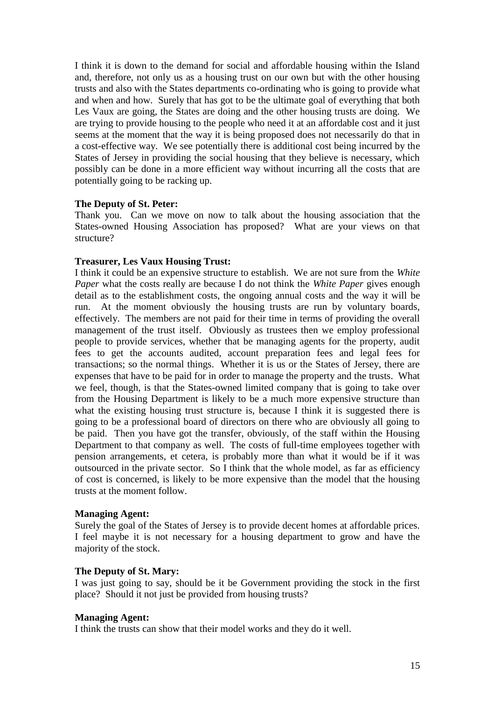I think it is down to the demand for social and affordable housing within the Island and, therefore, not only us as a housing trust on our own but with the other housing trusts and also with the States departments co-ordinating who is going to provide what and when and how. Surely that has got to be the ultimate goal of everything that both Les Vaux are going, the States are doing and the other housing trusts are doing. We are trying to provide housing to the people who need it at an affordable cost and it just seems at the moment that the way it is being proposed does not necessarily do that in a cost-effective way. We see potentially there is additional cost being incurred by the States of Jersey in providing the social housing that they believe is necessary, which possibly can be done in a more efficient way without incurring all the costs that are potentially going to be racking up.

#### **The Deputy of St. Peter:**

Thank you. Can we move on now to talk about the housing association that the States-owned Housing Association has proposed? What are your views on that structure?

#### **Treasurer, Les Vaux Housing Trust:**

I think it could be an expensive structure to establish. We are not sure from the *White Paper* what the costs really are because I do not think the *White Paper* gives enough detail as to the establishment costs, the ongoing annual costs and the way it will be run. At the moment obviously the housing trusts are run by voluntary boards, effectively. The members are not paid for their time in terms of providing the overall management of the trust itself. Obviously as trustees then we employ professional people to provide services, whether that be managing agents for the property, audit fees to get the accounts audited, account preparation fees and legal fees for transactions; so the normal things. Whether it is us or the States of Jersey, there are expenses that have to be paid for in order to manage the property and the trusts. What we feel, though, is that the States-owned limited company that is going to take over from the Housing Department is likely to be a much more expensive structure than what the existing housing trust structure is, because I think it is suggested there is going to be a professional board of directors on there who are obviously all going to be paid. Then you have got the transfer, obviously, of the staff within the Housing Department to that company as well. The costs of full-time employees together with pension arrangements, et cetera, is probably more than what it would be if it was outsourced in the private sector. So I think that the whole model, as far as efficiency of cost is concerned, is likely to be more expensive than the model that the housing trusts at the moment follow.

#### **Managing Agent:**

Surely the goal of the States of Jersey is to provide decent homes at affordable prices. I feel maybe it is not necessary for a housing department to grow and have the majority of the stock.

#### **The Deputy of St. Mary:**

I was just going to say, should be it be Government providing the stock in the first place? Should it not just be provided from housing trusts?

#### **Managing Agent:**

I think the trusts can show that their model works and they do it well.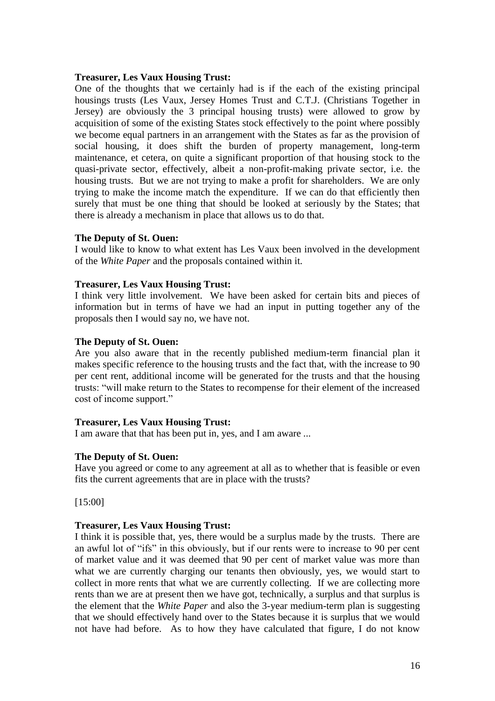#### **Treasurer, Les Vaux Housing Trust:**

One of the thoughts that we certainly had is if the each of the existing principal housings trusts (Les Vaux, Jersey Homes Trust and C.T.J. (Christians Together in Jersey) are obviously the 3 principal housing trusts) were allowed to grow by acquisition of some of the existing States stock effectively to the point where possibly we become equal partners in an arrangement with the States as far as the provision of social housing, it does shift the burden of property management, long-term maintenance, et cetera, on quite a significant proportion of that housing stock to the quasi-private sector, effectively, albeit a non-profit-making private sector, i.e. the housing trusts. But we are not trying to make a profit for shareholders. We are only trying to make the income match the expenditure. If we can do that efficiently then surely that must be one thing that should be looked at seriously by the States; that there is already a mechanism in place that allows us to do that.

#### **The Deputy of St. Ouen:**

I would like to know to what extent has Les Vaux been involved in the development of the *White Paper* and the proposals contained within it.

#### **Treasurer, Les Vaux Housing Trust:**

I think very little involvement. We have been asked for certain bits and pieces of information but in terms of have we had an input in putting together any of the proposals then I would say no, we have not.

#### **The Deputy of St. Ouen:**

Are you also aware that in the recently published medium-term financial plan it makes specific reference to the housing trusts and the fact that, with the increase to 90 per cent rent, additional income will be generated for the trusts and that the housing trusts: "will make return to the States to recompense for their element of the increased cost of income support."

#### **Treasurer, Les Vaux Housing Trust:**

I am aware that that has been put in, yes, and I am aware ...

#### **The Deputy of St. Ouen:**

Have you agreed or come to any agreement at all as to whether that is feasible or even fits the current agreements that are in place with the trusts?

[15:00]

#### **Treasurer, Les Vaux Housing Trust:**

I think it is possible that, yes, there would be a surplus made by the trusts. There are an awful lot of "ifs" in this obviously, but if our rents were to increase to 90 per cent of market value and it was deemed that 90 per cent of market value was more than what we are currently charging our tenants then obviously, yes, we would start to collect in more rents that what we are currently collecting. If we are collecting more rents than we are at present then we have got, technically, a surplus and that surplus is the element that the *White Paper* and also the 3-year medium-term plan is suggesting that we should effectively hand over to the States because it is surplus that we would not have had before. As to how they have calculated that figure, I do not know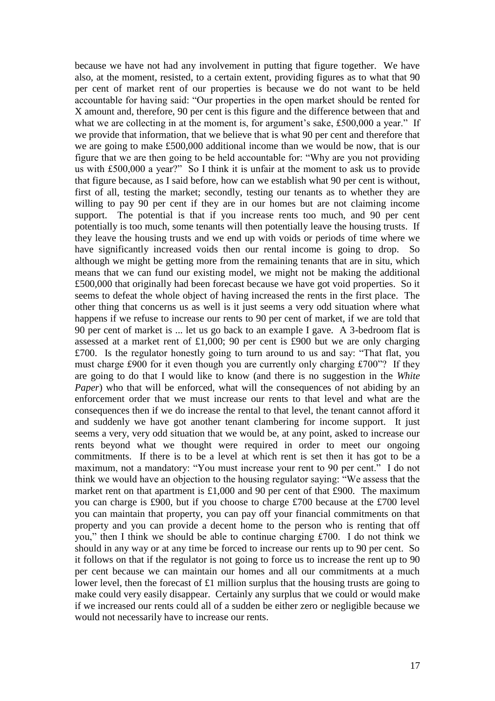because we have not had any involvement in putting that figure together. We have also, at the moment, resisted, to a certain extent, providing figures as to what that 90 per cent of market rent of our properties is because we do not want to be held accountable for having said: "Our properties in the open market should be rented for X amount and, therefore, 90 per cent is this figure and the difference between that and what we are collecting in at the moment is, for argument's sake, £500,000 a year." If we provide that information, that we believe that is what 90 per cent and therefore that we are going to make £500,000 additional income than we would be now, that is our figure that we are then going to be held accountable for: "Why are you not providing us with £500,000 a year?" So I think it is unfair at the moment to ask us to provide that figure because, as I said before, how can we establish what 90 per cent is without, first of all, testing the market; secondly, testing our tenants as to whether they are willing to pay 90 per cent if they are in our homes but are not claiming income support. The potential is that if you increase rents too much, and 90 per cent potentially is too much, some tenants will then potentially leave the housing trusts. If they leave the housing trusts and we end up with voids or periods of time where we have significantly increased voids then our rental income is going to drop. So although we might be getting more from the remaining tenants that are in situ, which means that we can fund our existing model, we might not be making the additional £500,000 that originally had been forecast because we have got void properties. So it seems to defeat the whole object of having increased the rents in the first place. The other thing that concerns us as well is it just seems a very odd situation where what happens if we refuse to increase our rents to 90 per cent of market, if we are told that 90 per cent of market is ... let us go back to an example I gave. A 3-bedroom flat is assessed at a market rent of £1,000; 90 per cent is £900 but we are only charging £700. Is the regulator honestly going to turn around to us and say: "That flat, you must charge £900 for it even though you are currently only charging £700"? If they are going to do that I would like to know (and there is no suggestion in the *White Paper*) who that will be enforced, what will the consequences of not abiding by an enforcement order that we must increase our rents to that level and what are the consequences then if we do increase the rental to that level, the tenant cannot afford it and suddenly we have got another tenant clambering for income support. It just seems a very, very odd situation that we would be, at any point, asked to increase our rents beyond what we thought were required in order to meet our ongoing commitments. If there is to be a level at which rent is set then it has got to be a maximum, not a mandatory: "You must increase your rent to 90 per cent." I do not think we would have an objection to the housing regulator saying: "We assess that the market rent on that apartment is £1,000 and 90 per cent of that £900. The maximum you can charge is £900, but if you choose to charge £700 because at the £700 level you can maintain that property, you can pay off your financial commitments on that property and you can provide a decent home to the person who is renting that off you," then I think we should be able to continue charging £700. I do not think we should in any way or at any time be forced to increase our rents up to 90 per cent. So it follows on that if the regulator is not going to force us to increase the rent up to 90 per cent because we can maintain our homes and all our commitments at a much lower level, then the forecast of £1 million surplus that the housing trusts are going to make could very easily disappear. Certainly any surplus that we could or would make if we increased our rents could all of a sudden be either zero or negligible because we would not necessarily have to increase our rents.